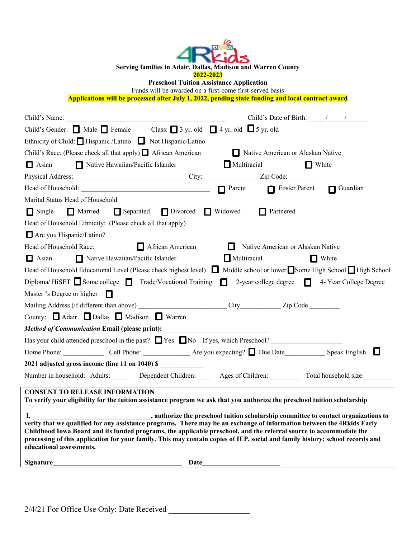| Serving families in Adair, Dallas, Madison and Warren County<br>2022-2023                                                                                                                                                                                                                                                                                                                                 |  |  |  |  |  |  |
|-----------------------------------------------------------------------------------------------------------------------------------------------------------------------------------------------------------------------------------------------------------------------------------------------------------------------------------------------------------------------------------------------------------|--|--|--|--|--|--|
| <b>Preschool Tuition Assistance Application</b>                                                                                                                                                                                                                                                                                                                                                           |  |  |  |  |  |  |
| Funds will be awarded on a first-come first-served basis<br>Applications will be processed after July 1, 2022, pending state funding and local contract award                                                                                                                                                                                                                                             |  |  |  |  |  |  |
|                                                                                                                                                                                                                                                                                                                                                                                                           |  |  |  |  |  |  |
| Child's Date of Birth: $\frac{1}{\sqrt{2\pi}}$                                                                                                                                                                                                                                                                                                                                                            |  |  |  |  |  |  |
| Child's Gender: $\Box$ Male $\Box$ Female Class: $\Box$ 3 yr. old $\Box$ 4 yr. old $\Box$ 5 yr. old                                                                                                                                                                                                                                                                                                       |  |  |  |  |  |  |
| Ethnicity of Child: Hispanic /Latino Not Hispanic/Latino                                                                                                                                                                                                                                                                                                                                                  |  |  |  |  |  |  |
| Child's Race: (Please check all that apply) ■ African American Native American or Alaskan Native                                                                                                                                                                                                                                                                                                          |  |  |  |  |  |  |
| Native Hawaiian/Pacific Islander Multiracial<br>$\Box$ White<br>$\Box$ Asian                                                                                                                                                                                                                                                                                                                              |  |  |  |  |  |  |
|                                                                                                                                                                                                                                                                                                                                                                                                           |  |  |  |  |  |  |
| Head of Household: Contact Duration Contact Duration Contact Duration Contact Duration Contact Duration Contact Duration Contact Duration Contact Duration Contact Duration Contact Duration Contact Duration Contact Duration                                                                                                                                                                            |  |  |  |  |  |  |
| Marital Status Head of Household                                                                                                                                                                                                                                                                                                                                                                          |  |  |  |  |  |  |
| Married Separated Divorced Widowed<br>Partnered<br>$\Box$ Single                                                                                                                                                                                                                                                                                                                                          |  |  |  |  |  |  |
| Head of Household Ethnicity: (Please check all that apply)                                                                                                                                                                                                                                                                                                                                                |  |  |  |  |  |  |
| Are you Hispanic/Latino?                                                                                                                                                                                                                                                                                                                                                                                  |  |  |  |  |  |  |
| African American<br>Head of Household Race:<br>Native American or Alaskan Native                                                                                                                                                                                                                                                                                                                          |  |  |  |  |  |  |
| Multiracial<br>$\Box$ White<br>$\Box$ Asian<br>Native Hawaiian/Pacific Islander                                                                                                                                                                                                                                                                                                                           |  |  |  |  |  |  |
| Head of Household Educational Level (Please check highest level) ■ Middle school or lower■Some High School■High School                                                                                                                                                                                                                                                                                    |  |  |  |  |  |  |
| Diploma/HiSET Some college $\Box$ Trade/Vocational Training $\Box$ 2-year college degree $\Box$ 4-Year College Degree                                                                                                                                                                                                                                                                                     |  |  |  |  |  |  |
| Master 's Degree or higher $\Box$                                                                                                                                                                                                                                                                                                                                                                         |  |  |  |  |  |  |
|                                                                                                                                                                                                                                                                                                                                                                                                           |  |  |  |  |  |  |
| County: Adair Dallas Madison Warren                                                                                                                                                                                                                                                                                                                                                                       |  |  |  |  |  |  |
| Method of Communication Email (please print):                                                                                                                                                                                                                                                                                                                                                             |  |  |  |  |  |  |
| Has your child attended preschool in the past? $\Box$ Yes $\Box$ No If yes, which Preschool?                                                                                                                                                                                                                                                                                                              |  |  |  |  |  |  |
|                                                                                                                                                                                                                                                                                                                                                                                                           |  |  |  |  |  |  |
| 2021 adjusted gross income (line 11 on 1040) \$                                                                                                                                                                                                                                                                                                                                                           |  |  |  |  |  |  |
| Number in household: Adults: ______ Dependent Children: _____ Ages of Children: _________ Total household size:                                                                                                                                                                                                                                                                                           |  |  |  |  |  |  |
|                                                                                                                                                                                                                                                                                                                                                                                                           |  |  |  |  |  |  |
| <b>CONSENT TO RELEASE INFORMATION</b><br>To verify your eligibility for the tuition assistance program we ask that you authorize the preschool tuition scholarship                                                                                                                                                                                                                                        |  |  |  |  |  |  |
|                                                                                                                                                                                                                                                                                                                                                                                                           |  |  |  |  |  |  |
| verify that we qualified for any assistance programs. There may be an exchange of information between the 4Rkids Early<br>Childhood Iowa Board and its funded programs, the applicable preschool, and the referral source to accommodate the<br>processing of this application for your family. This may contain copies of IEP, social and family history; school records and<br>educational assessments. |  |  |  |  |  |  |
| <b>Signature</b>                                                                                                                                                                                                                                                                                                                                                                                          |  |  |  |  |  |  |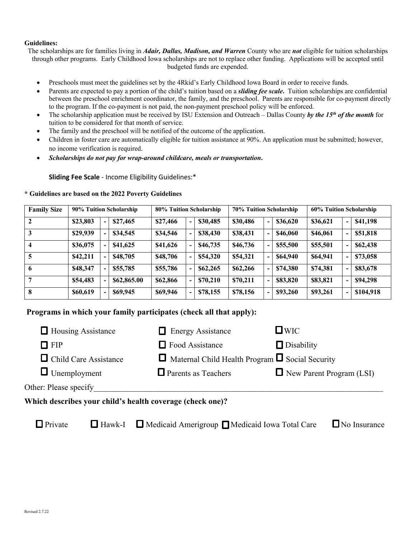#### **Guidelines:**

The scholarships are for families living in *Adair, Dallas, Madison, and Warren* County who are *not* eligible for tuition scholarships through other programs. Early Childhood Iowa scholarships are not to replace other funding. Applications will be accepted until budgeted funds are expended.

- Preschools must meet the guidelines set by the 4Rkid's Early Childhood Iowa Board in order to receive funds.
- Parents are expected to pay a portion of the child's tuition based on a *sliding fee scale***.** Tuition scholarships are confidential between the preschool enrichment coordinator, the family, and the preschool. Parents are responsible for co-payment directly to the program. If the co-payment is not paid, the non-payment preschool policy will be enforced.
- The scholarship application must be received by ISU Extension and Outreach Dallas County *by the 15<sup>th</sup> of the month* for tuition to be considered for that month of service.
- The family and the preschool will be notified of the outcome of the application.
- Children in foster care are automatically eligible for tuition assistance at 90%. An application must be submitted; however, no income verification is required.
- *Scholarships do not pay for wrap-around childcare, meals or transportation***.**

**Sliding Fee Scale** - Income Eligibility Guidelines:\*

| <b>Family Size</b> | 90% Tuition Scholarship |                          |             | 80% Tuition Scholarship |  |          | 70% Tuition Scholarship |                          |          | 60% Tuition Scholarship |                |           |
|--------------------|-------------------------|--------------------------|-------------|-------------------------|--|----------|-------------------------|--------------------------|----------|-------------------------|----------------|-----------|
| $\mathbf{2}$       | \$23,803                | $\overline{\phantom{a}}$ | \$27,465    | \$27,466                |  | \$30,485 | \$30,486                | $\overline{\phantom{a}}$ | \$36,620 | \$36,621                | $\blacksquare$ | \$41,198  |
| 3                  | \$29,939                | $\overline{\phantom{a}}$ | \$34,545    | \$34,546                |  | \$38,430 | \$38,431                | $\overline{\phantom{0}}$ | \$46,060 | \$46,061                | $\blacksquare$ | \$51,818  |
|                    | \$36,075                | $\overline{\phantom{a}}$ | \$41,625    | \$41,626                |  | \$46,735 | \$46,736                | $\overline{\phantom{a}}$ | \$55,500 | \$55,501                |                | \$62,438  |
| 5                  | \$42,211                | $\blacksquare$           | \$48,705    | \$48,706                |  | \$54,320 | \$54,321                | $\overline{\phantom{0}}$ | \$64,940 | \$64,941                |                | \$73,058  |
| 6                  | \$48,347                | $\overline{\phantom{a}}$ | \$55,785    | \$55,786                |  | \$62,265 | \$62,266                | $\overline{\phantom{0}}$ | \$74,380 | \$74,381                |                | \$83,678  |
|                    | \$54,483                | $\blacksquare$           | \$62,865.00 | \$62,866                |  | \$70,210 | \$70,211                | $\overline{\phantom{0}}$ | \$83,820 | \$83,821                | $\blacksquare$ | \$94,298  |
| 8                  | \$60,619                | $\overline{\phantom{a}}$ | \$69,945    | \$69,946                |  | \$78,155 | \$78,156                | $\blacksquare$           | \$93,260 | \$93,261                | $\blacksquare$ | \$104,918 |

#### **\* Guidelines are based on the 2022 Poverty Guidelines**

# **Programs in which your family participates (check all that apply):**

| $\Box$ Housing Assistance                                 | $\Box$ Energy Assistance                                    | $\square$ WIC                   |
|-----------------------------------------------------------|-------------------------------------------------------------|---------------------------------|
| $\Box$ FIP                                                | $\Box$ Food Assistance                                      | $\Box$ Disability               |
| $\Box$ Child Care Assistance                              | $\Box$ Maternal Child Health Program $\Box$ Social Security |                                 |
| $\Box$ Unemployment                                       | $\Box$ Parents as Teachers                                  | $\Box$ New Parent Program (LSI) |
| Other: Please specify                                     |                                                             |                                 |
| Which describes your child's health coverage (check one)? |                                                             |                                 |

**O** Private **C** Hawk-I **O** Medicaid Amerigroup **C** Medicaid Iowa Total Care C No Insurance  $\Box$  Hawk-I